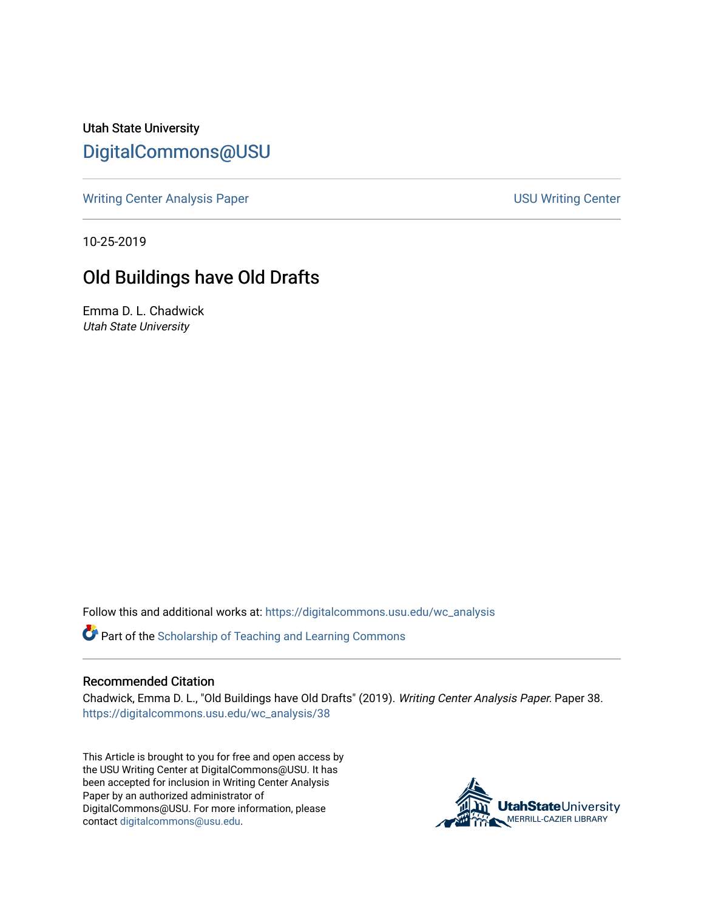Utah State University [DigitalCommons@USU](https://digitalcommons.usu.edu/)

[Writing Center Analysis Paper](https://digitalcommons.usu.edu/wc_analysis) National Communication of the USU Writing Center

10-25-2019

## Old Buildings have Old Drafts

Emma D. L. Chadwick Utah State University

Follow this and additional works at: [https://digitalcommons.usu.edu/wc\\_analysis](https://digitalcommons.usu.edu/wc_analysis?utm_source=digitalcommons.usu.edu%2Fwc_analysis%2F38&utm_medium=PDF&utm_campaign=PDFCoverPages) 

Part of the [Scholarship of Teaching and Learning Commons](http://network.bepress.com/hgg/discipline/1328?utm_source=digitalcommons.usu.edu%2Fwc_analysis%2F38&utm_medium=PDF&utm_campaign=PDFCoverPages) 

## Recommended Citation

Chadwick, Emma D. L., "Old Buildings have Old Drafts" (2019). Writing Center Analysis Paper. Paper 38. [https://digitalcommons.usu.edu/wc\\_analysis/38](https://digitalcommons.usu.edu/wc_analysis/38?utm_source=digitalcommons.usu.edu%2Fwc_analysis%2F38&utm_medium=PDF&utm_campaign=PDFCoverPages)

This Article is brought to you for free and open access by the USU Writing Center at DigitalCommons@USU. It has been accepted for inclusion in Writing Center Analysis Paper by an authorized administrator of DigitalCommons@USU. For more information, please contact [digitalcommons@usu.edu](mailto:digitalcommons@usu.edu).

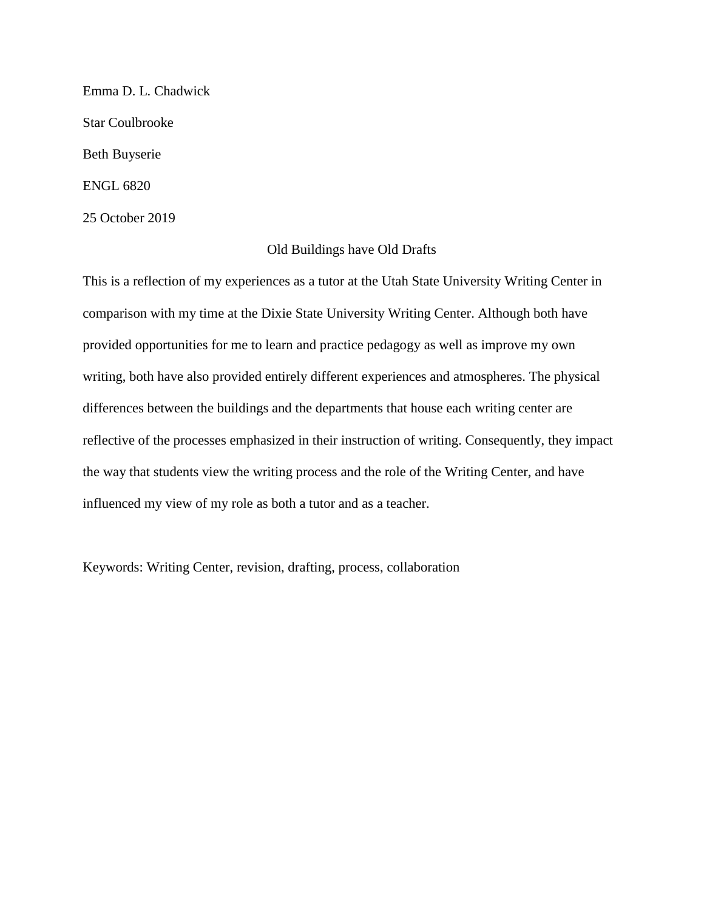Emma D. L. Chadwick Star Coulbrooke Beth Buyserie ENGL 6820 25 October 2019

## Old Buildings have Old Drafts

This is a reflection of my experiences as a tutor at the Utah State University Writing Center in comparison with my time at the Dixie State University Writing Center. Although both have provided opportunities for me to learn and practice pedagogy as well as improve my own writing, both have also provided entirely different experiences and atmospheres. The physical differences between the buildings and the departments that house each writing center are reflective of the processes emphasized in their instruction of writing. Consequently, they impact the way that students view the writing process and the role of the Writing Center, and have influenced my view of my role as both a tutor and as a teacher.

Keywords: Writing Center, revision, drafting, process, collaboration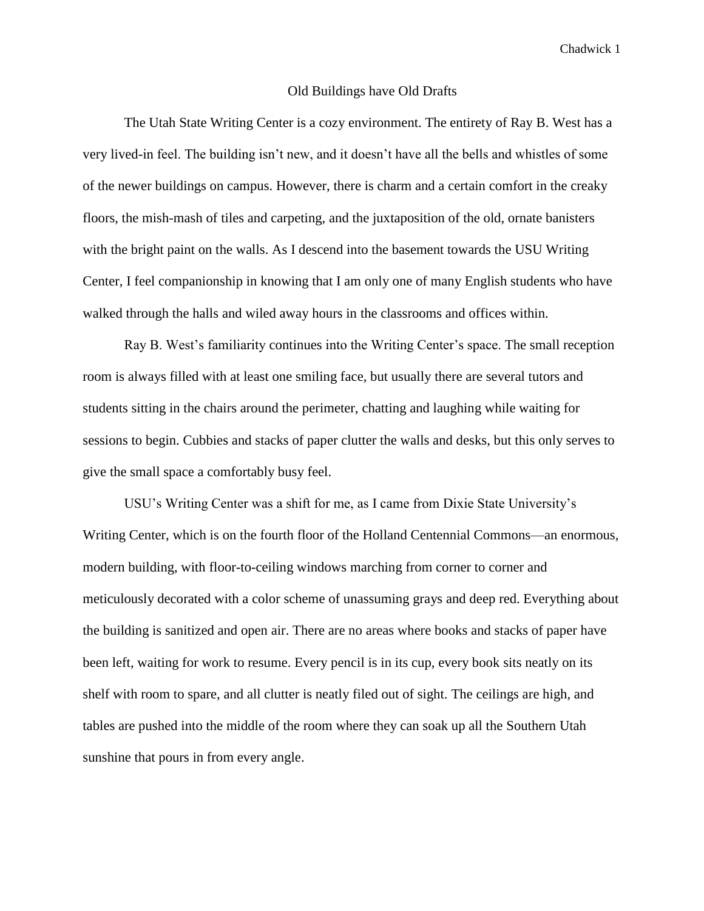## Old Buildings have Old Drafts

The Utah State Writing Center is a cozy environment. The entirety of Ray B. West has a very lived-in feel. The building isn't new, and it doesn't have all the bells and whistles of some of the newer buildings on campus. However, there is charm and a certain comfort in the creaky floors, the mish-mash of tiles and carpeting, and the juxtaposition of the old, ornate banisters with the bright paint on the walls. As I descend into the basement towards the USU Writing Center, I feel companionship in knowing that I am only one of many English students who have walked through the halls and wiled away hours in the classrooms and offices within.

Ray B. West's familiarity continues into the Writing Center's space. The small reception room is always filled with at least one smiling face, but usually there are several tutors and students sitting in the chairs around the perimeter, chatting and laughing while waiting for sessions to begin. Cubbies and stacks of paper clutter the walls and desks, but this only serves to give the small space a comfortably busy feel.

USU's Writing Center was a shift for me, as I came from Dixie State University's Writing Center, which is on the fourth floor of the Holland Centennial Commons—an enormous, modern building, with floor-to-ceiling windows marching from corner to corner and meticulously decorated with a color scheme of unassuming grays and deep red. Everything about the building is sanitized and open air. There are no areas where books and stacks of paper have been left, waiting for work to resume. Every pencil is in its cup, every book sits neatly on its shelf with room to spare, and all clutter is neatly filed out of sight. The ceilings are high, and tables are pushed into the middle of the room where they can soak up all the Southern Utah sunshine that pours in from every angle.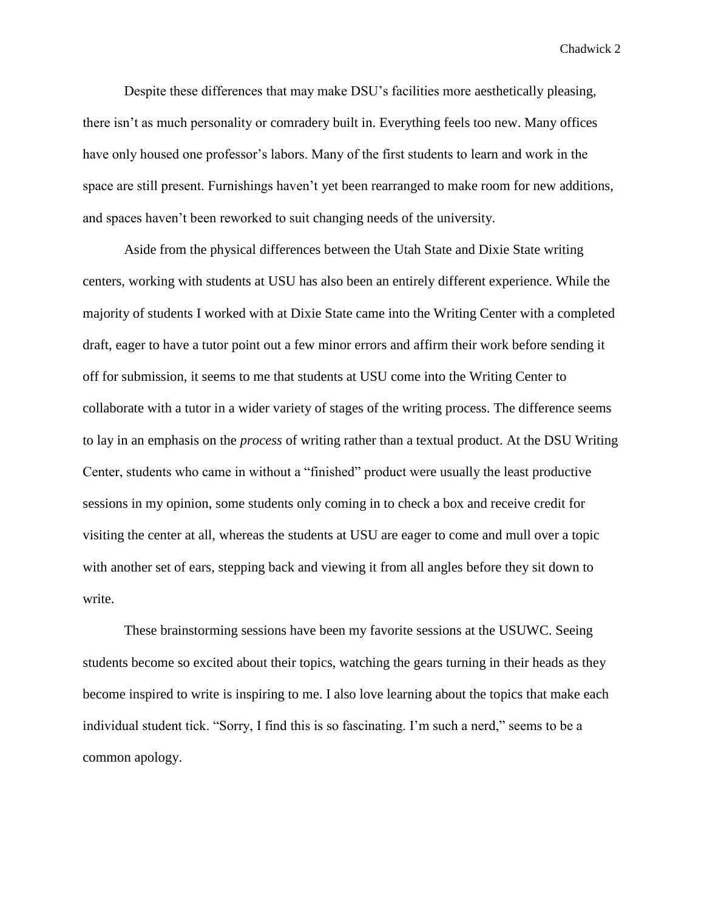Despite these differences that may make DSU's facilities more aesthetically pleasing, there isn't as much personality or comradery built in. Everything feels too new. Many offices have only housed one professor's labors. Many of the first students to learn and work in the space are still present. Furnishings haven't yet been rearranged to make room for new additions, and spaces haven't been reworked to suit changing needs of the university.

Aside from the physical differences between the Utah State and Dixie State writing centers, working with students at USU has also been an entirely different experience. While the majority of students I worked with at Dixie State came into the Writing Center with a completed draft, eager to have a tutor point out a few minor errors and affirm their work before sending it off for submission, it seems to me that students at USU come into the Writing Center to collaborate with a tutor in a wider variety of stages of the writing process. The difference seems to lay in an emphasis on the *process* of writing rather than a textual product. At the DSU Writing Center, students who came in without a "finished" product were usually the least productive sessions in my opinion, some students only coming in to check a box and receive credit for visiting the center at all, whereas the students at USU are eager to come and mull over a topic with another set of ears, stepping back and viewing it from all angles before they sit down to write.

These brainstorming sessions have been my favorite sessions at the USUWC. Seeing students become so excited about their topics, watching the gears turning in their heads as they become inspired to write is inspiring to me. I also love learning about the topics that make each individual student tick. "Sorry, I find this is so fascinating. I'm such a nerd," seems to be a common apology.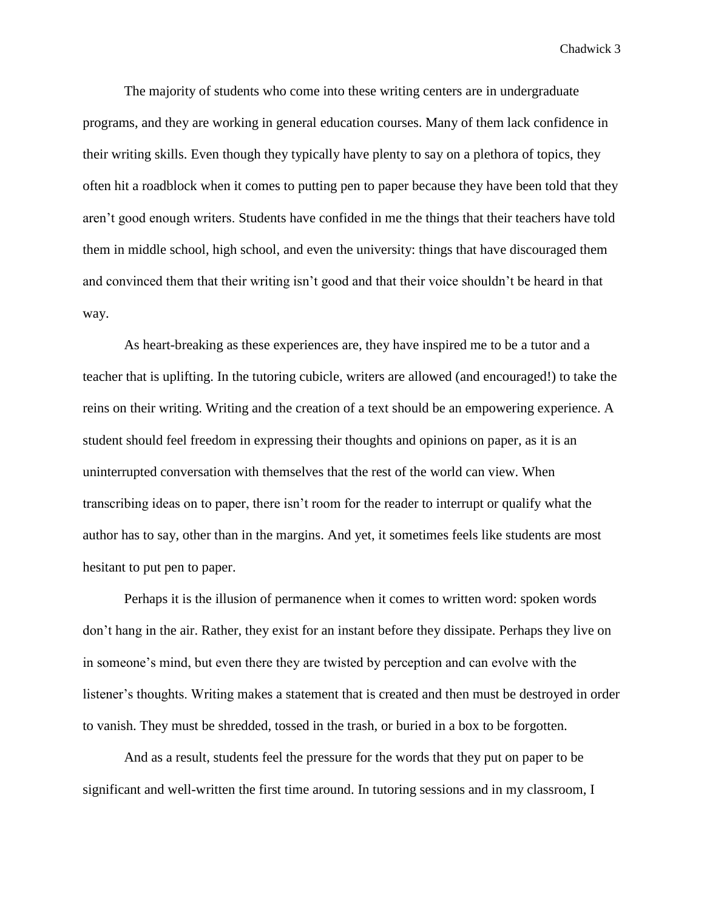The majority of students who come into these writing centers are in undergraduate programs, and they are working in general education courses. Many of them lack confidence in their writing skills. Even though they typically have plenty to say on a plethora of topics, they often hit a roadblock when it comes to putting pen to paper because they have been told that they aren't good enough writers. Students have confided in me the things that their teachers have told them in middle school, high school, and even the university: things that have discouraged them and convinced them that their writing isn't good and that their voice shouldn't be heard in that way.

As heart-breaking as these experiences are, they have inspired me to be a tutor and a teacher that is uplifting. In the tutoring cubicle, writers are allowed (and encouraged!) to take the reins on their writing. Writing and the creation of a text should be an empowering experience. A student should feel freedom in expressing their thoughts and opinions on paper, as it is an uninterrupted conversation with themselves that the rest of the world can view. When transcribing ideas on to paper, there isn't room for the reader to interrupt or qualify what the author has to say, other than in the margins. And yet, it sometimes feels like students are most hesitant to put pen to paper.

Perhaps it is the illusion of permanence when it comes to written word: spoken words don't hang in the air. Rather, they exist for an instant before they dissipate. Perhaps they live on in someone's mind, but even there they are twisted by perception and can evolve with the listener's thoughts. Writing makes a statement that is created and then must be destroyed in order to vanish. They must be shredded, tossed in the trash, or buried in a box to be forgotten.

And as a result, students feel the pressure for the words that they put on paper to be significant and well-written the first time around. In tutoring sessions and in my classroom, I